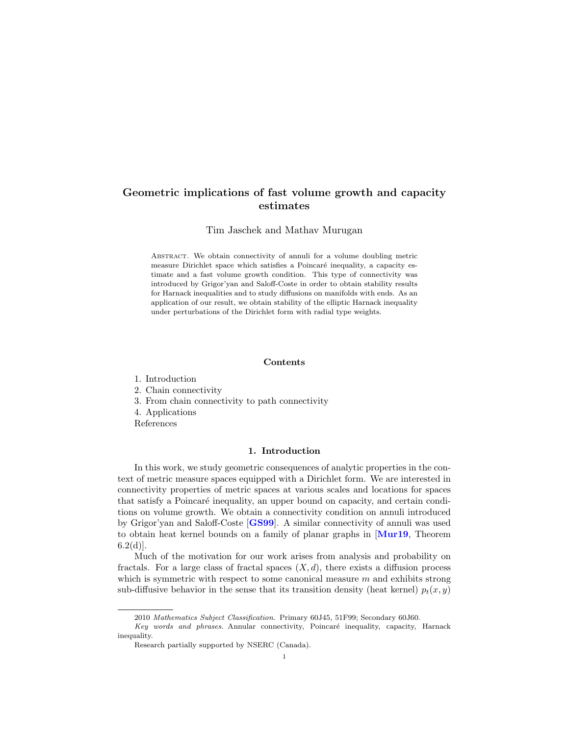# <span id="page-0-0"></span>Geometric implications of fast volume growth and capacity estimates

Tim Jaschek and Mathav Murugan

Abstract. We obtain connectivity of annuli for a volume doubling metric measure Dirichlet space which satisfies a Poincaré inequality, a capacity estimate and a fast volume growth condition. This type of connectivity was introduced by Grigor'yan and Saloff-Coste in order to obtain stability results for Harnack inequalities and to study diffusions on manifolds with ends. As an application of our result, we obtain stability of the elliptic Harnack inequality under perturbations of the Dirichlet form with radial type weights.

## Contents

1. Introduction

- 2. Chain connectivity
- 3. From chain connectivity to path connectivity
- 4. Applications

References

## 1. Introduction

In this work, we study geometric consequences of analytic properties in the context of metric measure spaces equipped with a Dirichlet form. We are interested in connectivity properties of metric spaces at various scales and locations for spaces that satisfy a Poincaré inequality, an upper bound on capacity, and certain conditions on volume growth. We obtain a connectivity condition on annuli introduced by Grigor'yan and Saloff-Coste [[GS99](#page-14-0)]. A similar connectivity of annuli was used to obtain heat kernel bounds on a family of planar graphs in [[Mur19](#page-14-1), Theorem  $6.2(d)$ ].

Much of the motivation for our work arises from analysis and probability on fractals. For a large class of fractal spaces  $(X, d)$ , there exists a diffusion process which is symmetric with respect to some canonical measure  $m$  and exhibits strong sub-diffusive behavior in the sense that its transition density (heat kernel)  $p_t(x, y)$ 

<sup>2010</sup> Mathematics Subject Classification. Primary 60J45, 51F99; Secondary 60J60.

Key words and phrases. Annular connectivity, Poincaré inequality, capacity, Harnack inequality.

Research partially supported by NSERC (Canada).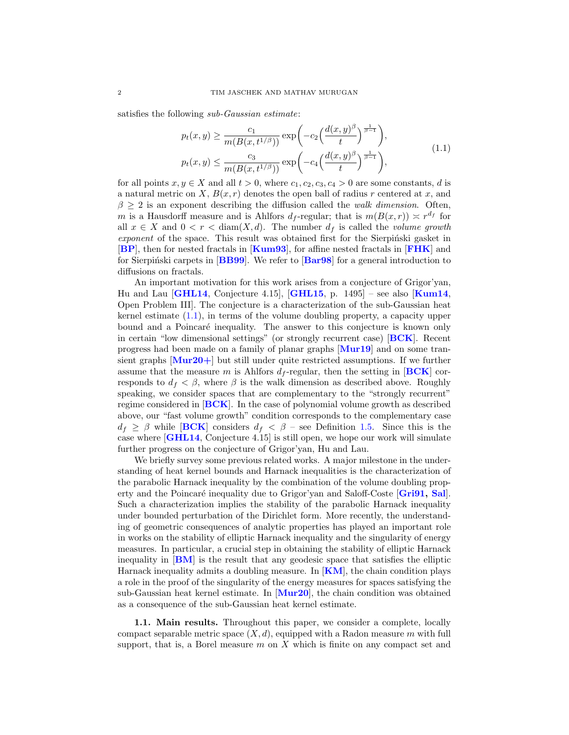<span id="page-1-0"></span>satisfies the following sub-Gaussian estimate:

$$
p_t(x,y) \ge \frac{c_1}{m(B(x,t^{1/\beta}))} \exp\left(-c_2\left(\frac{d(x,y)^{\beta}}{t}\right)^{\frac{1}{\beta-1}}\right),
$$
  

$$
p_t(x,y) \le \frac{c_3}{m(B(x,t^{1/\beta}))} \exp\left(-c_4\left(\frac{d(x,y)^{\beta}}{t}\right)^{\frac{1}{\beta-1}}\right),
$$
 (1.1)

for all points  $x, y \in X$  and all  $t > 0$ , where  $c_1, c_2, c_3, c_4 > 0$  are some constants, d is a natural metric on X,  $B(x, r)$  denotes the open ball of radius r centered at x, and  $\beta > 2$  is an exponent describing the diffusion called the walk dimension. Often, m is a Hausdorff measure and is Ahlfors  $d_f$ -regular; that is  $m(B(x, r)) \approx r^{d_f}$  for all  $x \in X$  and  $0 < r < \text{diam}(X, d)$ . The number  $d_f$  is called the *volume growth* exponent of the space. This result was obtained first for the Sierpinski gasket in [[BP](#page-13-0)], then for nested fractals in [[Kum93](#page-14-2)], for affine nested fractals in [[FHK](#page-13-1)] and for Sierpiński carpets in  $[BB99]$  $[BB99]$  $[BB99]$ . We refer to  $[Bar98]$  $[Bar98]$  $[Bar98]$  for a general introduction to diffusions on fractals.

An important motivation for this work arises from a conjecture of Grigor'yan, Hu and Lau  $\overline{GHL14}$  $\overline{GHL14}$  $\overline{GHL14}$ , Conjecture 4.15,  $\overline{GHL15}$  $\overline{GHL15}$  $\overline{GHL15}$ , p. 1495 – see also  $\overline{Kum14}$  $\overline{Kum14}$  $\overline{Kum14}$ , Open Problem III]. The conjecture is a characterization of the sub-Gaussian heat kernel estimate  $(1.1)$ , in terms of the volume doubling property, a capacity upper bound and a Poincaré inequality. The answer to this conjecture is known only in certain "low dimensional settings" (or strongly recurrent case) [[BCK](#page-13-4)]. Recent progress had been made on a family of planar graphs [[Mur19](#page-14-1)] and on some transient graphs  $\text{[Mur20+]}$  $\text{[Mur20+]}$  $\text{[Mur20+]}$  but still under quite restricted assumptions. If we further assume that the measure m is Ahlfors  $d_f$ -regular, then the setting in [[BCK](#page-13-4)] corresponds to  $d_f < \beta$ , where  $\beta$  is the walk dimension as described above. Roughly speaking, we consider spaces that are complementary to the "strongly recurrent" regime considered in [[BCK](#page-13-4)]. In the case of polynomial volume growth as described above, our "fast volume growth" condition corresponds to the complementary case  $d_f \geq \beta$  while [[BCK](#page-13-4)] considers  $d_f < \beta$  – see Definition [1.5.](#page-3-0) Since this is the case where [[GHL14](#page-14-3), Conjecture 4.15] is still open, we hope our work will simulate further progress on the conjecture of Grigor'yan, Hu and Lau.

We briefly survey some previous related works. A major milestone in the understanding of heat kernel bounds and Harnack inequalities is the characterization of the parabolic Harnack inequality by the combination of the volume doubling prop-erty and the Poincaré inequality due to Grigor'yan and Saloff-Coste [[Gri91,](#page-14-7) [Sal](#page-14-8)]. Such a characterization implies the stability of the parabolic Harnack inequality under bounded perturbation of the Dirichlet form. More recently, the understanding of geometric consequences of analytic properties has played an important role in works on the stability of elliptic Harnack inequality and the singularity of energy measures. In particular, a crucial step in obtaining the stability of elliptic Harnack inequality in [[BM](#page-13-5)] is the result that any geodesic space that satisfies the elliptic Harnack inequality admits a doubling measure. In  $\lfloor KM \rfloor$  $\lfloor KM \rfloor$  $\lfloor KM \rfloor$ , the chain condition plays a role in the proof of the singularity of the energy measures for spaces satisfying the sub-Gaussian heat kernel estimate. In  $\text{[Mur20]}$  $\text{[Mur20]}$  $\text{[Mur20]}$ , the chain condition was obtained as a consequence of the sub-Gaussian heat kernel estimate.

1.1. Main results. Throughout this paper, we consider a complete, locally compact separable metric space  $(X, d)$ , equipped with a Radon measure m with full support, that is, a Borel measure  $m$  on  $X$  which is finite on any compact set and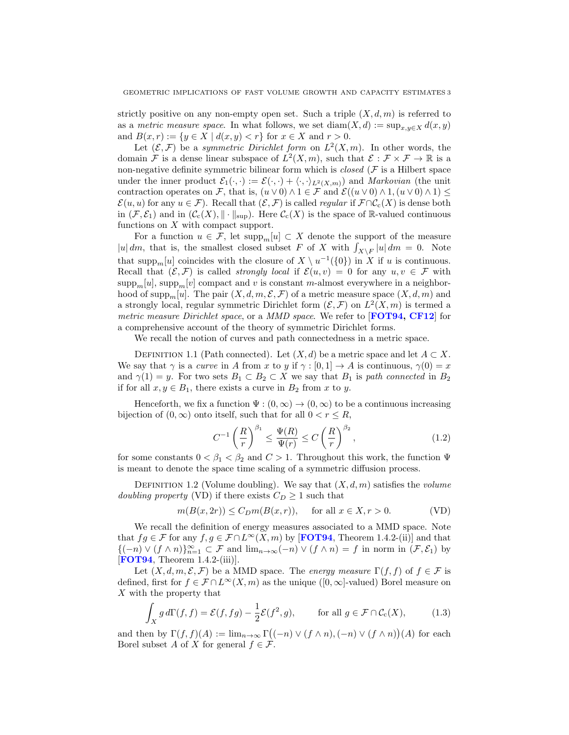strictly positive on any non-empty open set. Such a triple  $(X, d, m)$  is referred to as a metric measure space. In what follows, we set  $\text{diam}(X, d) := \sup_{x,y \in X} d(x, y)$ and  $B(x, r) := \{y \in X \mid d(x, y) < r\}$  for  $x \in X$  and  $r > 0$ .

Let  $(\mathcal{E}, \mathcal{F})$  be a symmetric Dirichlet form on  $L^2(X, m)$ . In other words, the domain  $\mathcal F$  is a dense linear subspace of  $L^2(X,m)$ , such that  $\mathcal E : \mathcal F \times \mathcal F \to \mathbb R$  is a non-negative definite symmetric bilinear form which is *closed* ( $F$  is a Hilbert space under the inner product  $\mathcal{E}_1(\cdot,\cdot) := \mathcal{E}(\cdot,\cdot) + \langle \cdot,\cdot \rangle_{L^2(X,m)}$  and *Markovian* (the unit contraction operates on F, that is,  $(u \vee 0) \wedge 1 \in \mathcal{F}$  and  $\mathcal{E}((u \vee 0) \wedge 1, (u \vee 0) \wedge 1) \leq$  $\mathcal{E}(u, u)$  for any  $u \in \mathcal{F}$ ). Recall that  $(\mathcal{E}, \mathcal{F})$  is called *regular* if  $\mathcal{F} \cap \mathcal{C}_c(X)$  is dense both in  $(\mathcal{F}, \mathcal{E}_1)$  and in  $(\mathcal{C}_c(X), \|\cdot\|_{\text{sup}})$ . Here  $\mathcal{C}_c(X)$  is the space of R-valued continuous functions on  $X$  with compact support.

For a function  $u \in \mathcal{F}$ , let  $\text{supp}_m[u] \subset X$  denote the support of the measure |u|dm, that is, the smallest closed subset F of X with  $\int_{X\backslash F} |u| dm = 0$ . Note that supp<sub>m</sub>[u] coincides with the closure of  $X \setminus u^{-1}(\{0\})$  in X if u is continuous. Recall that  $(\mathcal{E}, \mathcal{F})$  is called *strongly local* if  $\mathcal{E}(u, v) = 0$  for any  $u, v \in \mathcal{F}$  with  $\text{supp}_m[u], \text{supp}_m[v]$  compact and v is constant m-almost everywhere in a neighborhood of supp<sub>m</sub>[u]. The pair  $(X, d, m, \mathcal{E}, \mathcal{F})$  of a metric measure space  $(X, d, m)$  and a strongly local, regular symmetric Dirichlet form  $(\mathcal{E}, \mathcal{F})$  on  $L^2(X, m)$  is termed a metric measure Dirichlet space, or a MMD space. We refer to [**[FOT94,](#page-13-6) [CF12](#page-13-7)**] for a comprehensive account of the theory of symmetric Dirichlet forms.

We recall the notion of curves and path connectedness in a metric space.

DEFINITION 1.1 (Path connected). Let  $(X, d)$  be a metric space and let  $A \subset X$ . We say that  $\gamma$  is a *curve* in A from x to y if  $\gamma : [0,1] \to A$  is continuous,  $\gamma(0) = x$ and  $\gamma(1) = y$ . For two sets  $B_1 \subset B_2 \subset X$  we say that  $B_1$  is path connected in  $B_2$ if for all  $x, y \in B_1$ , there exists a curve in  $B_2$  from x to y.

Henceforth, we fix a function  $\Psi : (0, \infty) \to (0, \infty)$  to be a continuous increasing bijection of  $(0, \infty)$  onto itself, such that for all  $0 < r \leq R$ ,

<span id="page-2-1"></span>
$$
C^{-1}\left(\frac{R}{r}\right)^{\beta_1} \le \frac{\Psi(R)}{\Psi(r)} \le C\left(\frac{R}{r}\right)^{\beta_2},\tag{1.2}
$$

for some constants  $0 < \beta_1 < \beta_2$  and  $C > 1$ . Throughout this work, the function  $\Psi$ is meant to denote the space time scaling of a symmetric diffusion process.

DEFINITION 1.2 (Volume doubling). We say that  $(X, d, m)$  satisfies the *volume* doubling property (VD) if there exists  $C_D \geq 1$  such that

<span id="page-2-0"></span>
$$
m(B(x, 2r)) \le C_D m(B(x, r)), \quad \text{for all } x \in X, r > 0. \tag{VD}
$$

We recall the definition of energy measures associated to a MMD space. Note that  $fg \in \mathcal{F}$  for any  $f, g \in \mathcal{F} \cap L^{\infty}(X,m)$  by [**[FOT94](#page-13-6)**, Theorem 1.4.2-(ii)] and that  ${(-n) \vee (f \wedge n)}_{n=1}^{\infty} \subset \mathcal{F}$  and  $\lim_{n\to\infty} (-n) \vee (f \wedge n) = f$  in norm in  $(\mathcal{F}, \mathcal{E}_1)$  by  $[FOT94, Theorem 1.4.2-(iii)].$  $[FOT94, Theorem 1.4.2-(iii)].$  $[FOT94, Theorem 1.4.2-(iii)].$ 

Let  $(X, d, m, \mathcal{E}, \mathcal{F})$  be a MMD space. The energy measure  $\Gamma(f, f)$  of  $f \in \mathcal{F}$  is defined, first for  $f \in \mathcal{F} \cap L^{\infty}(X,m)$  as the unique  $([0,\infty]$ -valued) Borel measure on X with the property that

$$
\int_X g \, d\Gamma(f, f) = \mathcal{E}(f, fg) - \frac{1}{2} \mathcal{E}(f^2, g), \qquad \text{for all } g \in \mathcal{F} \cap \mathcal{C}_c(X), \tag{1.3}
$$

and then by  $\Gamma(f, f)(A) := \lim_{n \to \infty} \Gamma((-n) \vee (f \wedge n), (-n) \vee (f \wedge n))(A)$  for each Borel subset A of X for general  $f \in \mathcal{F}$ .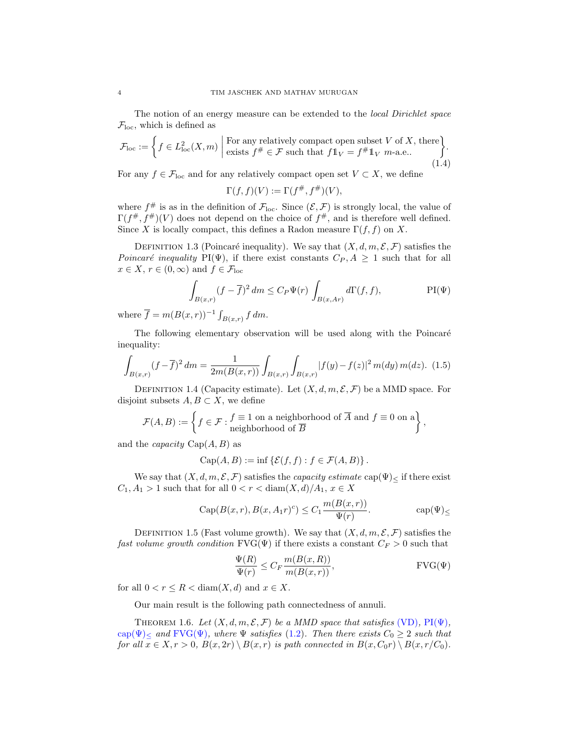The notion of an energy measure can be extended to the *local Dirichlet space*  $\mathcal{F}_{\text{loc}}$ , which is defined as

<span id="page-3-6"></span>
$$
\mathcal{F}_{loc} := \left\{ f \in L^2_{loc}(X,m) \mid \text{For any relatively compact open subset } V \text{ of } X, \text{ there} \atop \text{exists } f^\# \in \mathcal{F} \text{ such that } f1_V = f^\#1_V \text{ $m$-a.e..} \right\}.
$$
\n(1.4)

For any  $f \in \mathcal{F}_{loc}$  and for any relatively compact open set  $V \subset X$ , we define

$$
\Gamma(f, f)(V) := \Gamma(f^{\#}, f^{\#})(V),
$$

where  $f^{\#}$  is as in the definition of  $\mathcal{F}_{loc}$ . Since  $(\mathcal{E}, \mathcal{F})$  is strongly local, the value of  $\Gamma(f^{\#}, f^{\#})(V)$  does not depend on the choice of  $f^{\#}$ , and is therefore well defined. Since X is locally compact, this defines a Radon measure  $\Gamma(f, f)$  on X.

DEFINITION 1.3 (Poincaré inequality). We say that  $(X, d, m, \mathcal{E}, \mathcal{F})$  satisfies the Poincaré inequality PI(Ψ), if there exist constants  $C_P, A \geq 1$  such that for all  $x \in X$ ,  $r \in (0, \infty)$  and  $f \in \mathcal{F}_{loc}$ 

<span id="page-3-5"></span><span id="page-3-1"></span>
$$
\int_{B(x,r)} (f - \overline{f})^2 dm \le C_P \Psi(r) \int_{B(x,Ar)} d\Gamma(f, f),
$$
 PI $(\Psi)$ 

where  $\overline{f} = m(B(x,r))^{-1} \int_{B(x,r)} f dm$ .

The following elementary observation will be used along with the Poincaré inequality:

$$
\int_{B(x,r)} (f - \overline{f})^2 dm = \frac{1}{2m(B(x,r))} \int_{B(x,r)} \int_{B(x,r)} |f(y) - f(z)|^2 m(dy) m(dz). \tag{1.5}
$$

DEFINITION 1.4 (Capacity estimate). Let  $(X, d, m, \mathcal{E}, \mathcal{F})$  be a MMD space. For disjoint subsets  $A, B \subset X$ , we define

$$
\mathcal{F}(A,B) := \left\{ f \in \mathcal{F} : \begin{matrix} f \equiv 1 \text{ on a neighborhood of } \overline{A} \text{ and } f \equiv 0 \text{ on a} \\ \text{neighborhood of } \overline{B} \end{matrix} \right\},\
$$

and the *capacity*  $Cap(A, B)$  as

$$
\operatorname{Cap}(A, B) := \inf \{ \mathcal{E}(f, f) : f \in \mathcal{F}(A, B) \}.
$$

We say that  $(X, d, m, \mathcal{E}, \mathcal{F})$  satisfies the *capacity estimate* cap $(\Psi)_{\leq}$  if there exist  $C_1, A_1 > 1$  such that for all  $0 < r < \text{diam}(X, d)/A_1, x \in X$ 

$$
Cap(B(x,r), B(x, A_1r)^c) \le C_1 \frac{m(B(x,r))}{\Psi(r)}.
$$
 cap $(\Psi)$ <sub>≤</sub>

<span id="page-3-0"></span>DEFINITION 1.5 (Fast volume growth). We say that  $(X, d, m, \mathcal{E}, \mathcal{F})$  satisfies the fast volume growth condition  $\text{FVG}(\Psi)$  if there exists a constant  $C_F > 0$  such that

<span id="page-3-3"></span><span id="page-3-2"></span>
$$
\frac{\Psi(R)}{\Psi(r)} \le C_F \frac{m(B(x,R))}{m(B(x,r))},
$$
 FVG( $\Psi$ )

for all  $0 < r \leq R < \text{diam}(X, d)$  and  $x \in X$ .

Our main result is the following path connectedness of annuli.

<span id="page-3-4"></span>THEOREM 1.6. Let  $(X, d, m, \mathcal{E}, \mathcal{F})$  be a MMD space that satisfies [\(VD\)](#page-2-0),  $PI(\Psi)$ , cap( $\Psi$ ) and FVG( $\Psi$ ), where  $\Psi$  satisfies [\(1.2\)](#page-2-1). Then there exists  $C_0 \geq 2$  such that for all  $x \in X, r > 0$ ,  $B(x, 2r) \setminus B(x, r)$  is path connected in  $B(x, C_0r) \setminus B(x, r/C_0)$ .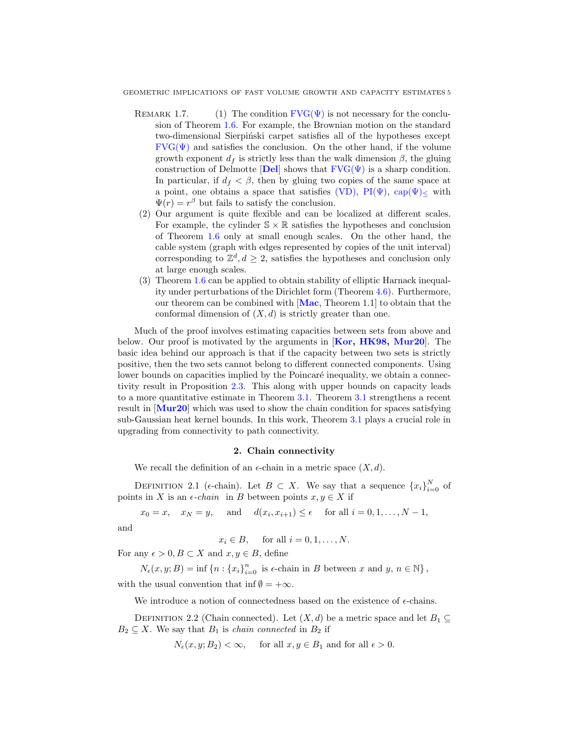- REMARK 1.7. (1) The condition  $\text{FVG}(\Psi)$  is not necessary for the conclusion of Theorem [1.6.](#page-3-4) For example, the Brownian motion on the standard two-dimensional Sierpiński carpet satisfies all of the hypotheses except  $FVG(\Psi)$  and satisfies the conclusion. On the other hand, if the volume growth exponent  $d_f$  is strictly less than the walk dimension  $\beta$ , the gluing construction of [Del](#page-13-8)motte [Del] shows that  $FVG(\Psi)$  is a sharp condition. In particular, if  $d_f < \beta$ , then by gluing two copies of the same space at a point, one obtains a space that satisfies [\(VD\),](#page-2-0)  $PI(\Psi)$ ,  $cap(\Psi)$  with  $\Psi(r) = r^{\beta}$  but fails to satisfy the conclusion.
- (2) Our argument is quite flexible and can be localized at different scales. For example, the cylinder  $\mathbb{S} \times \mathbb{R}$  satisfies the hypotheses and conclusion of Theorem [1.6](#page-3-4) only at small enough scales. On the other hand, the cable system (graph with edges represented by copies of the unit interval) corresponding to  $\mathbb{Z}^d, d \geq 2$ , satisfies the hypotheses and conclusion only at large enough scales.
- (3) Theorem [1.6](#page-3-4) can be applied to obtain stability of elliptic Harnack inequality under perturbations of the Dirichlet form (Theorem [4.6\)](#page-13-9). Furthermore, our theorem can be combined with [[Mac](#page-14-11), Theorem 1.1] to obtain that the conformal dimension of  $(X, d)$  is strictly greater than one.

Much of the proof involves estimating capacities between sets from above and below. Our proof is motivated by the arguments in [[Kor,](#page-14-12) [HK98,](#page-14-13) [Mur20](#page-14-10)]. The basic idea behind our approach is that if the capacity between two sets is strictly positive, then the two sets cannot belong to different connected components. Using lower bounds on capacities implied by the Poincaré inequality, we obtain a connectivity result in Proposition [2.3.](#page-5-0) This along with upper bounds on capacity leads to a more quantitative estimate in Theorem [3.1.](#page-8-0) Theorem [3.1](#page-8-0) strengthens a recent result in [[Mur20](#page-14-10)] which was used to show the chain condition for spaces satisfying sub-Gaussian heat kernel bounds. In this work, Theorem [3.1](#page-8-0) plays a crucial role in upgrading from connectivity to path connectivity.

## 2. Chain connectivity

We recall the definition of an  $\epsilon$ -chain in a metric space  $(X, d)$ .

DEFINITION 2.1 ( $\epsilon$ -chain). Let  $B \subset X$ . We say that a sequence  $\{x_i\}_{i=0}^N$  of points in X is an  $\epsilon$ -chain in B between points  $x, y \in X$  if

 $x_0 = x$ ,  $x_N = y$ , and  $d(x_i, x_{i+1}) \le \epsilon$  for all  $i = 0, 1, ..., N - 1$ ,

and

$$
x_i \in B, \quad \text{ for all } i = 0, 1, \dots, N.
$$

For any  $\epsilon > 0, B \subset X$  and  $x, y \in B$ , define

 $N_{\epsilon}(x, y; B) = \inf \{n : \{x_i\}_{i=0}^n \text{ is } \epsilon\text{-chain in } B \text{ between } x \text{ and } y, n \in \mathbb{N}\},\$ 

with the usual convention that inf  $\emptyset = +\infty$ .

We introduce a notion of connectedness based on the existence of  $\epsilon$ -chains.

DEFINITION 2.2 (Chain connected). Let  $(X, d)$  be a metric space and let  $B_1 \subseteq$  $B_2 \subseteq X$ . We say that  $B_1$  is *chain connected* in  $B_2$  if

$$
N_{\epsilon}(x, y; B_2) < \infty, \quad \text{ for all } x, y \in B_1 \text{ and for all } \epsilon > 0.
$$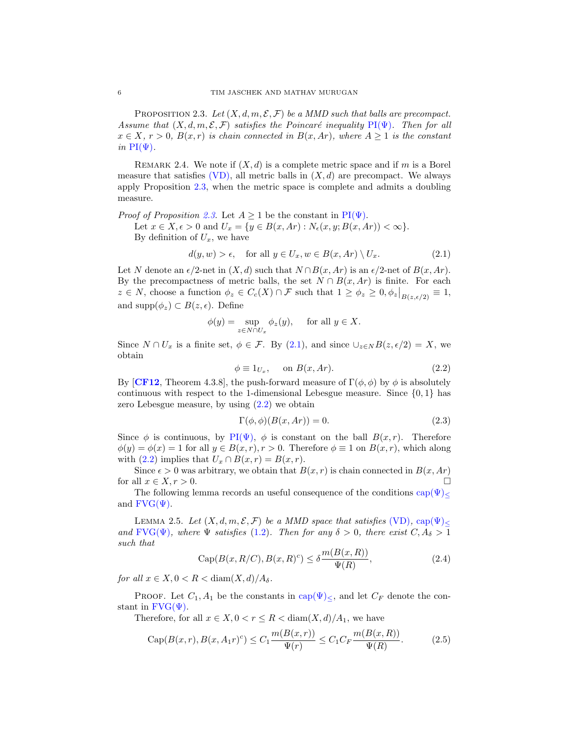<span id="page-5-0"></span>PROPOSITION 2.3. Let  $(X, d, m, \mathcal{E}, \mathcal{F})$  be a MMD such that balls are precompact. Assume that  $(X, d, m, \mathcal{E}, \mathcal{F})$  satisfies the Poincaré inequality PI( $\Psi$ ). Then for all  $x \in X$ ,  $r > 0$ ,  $B(x,r)$  is chain connected in  $B(x,Ar)$ , where  $A \geq 1$  is the constant in  $PI(\Psi)$ .

REMARK 2.4. We note if  $(X, d)$  is a complete metric space and if m is a Borel measure that satisfies  $(VD)$ , all metric balls in  $(X, d)$  are precompact. We always apply Proposition [2.3,](#page-5-0) when the metric space is complete and admits a doubling measure.

*Proof of Proposition [2.3](#page-5-0).* Let  $A \geq 1$  be the constant in  $PI(\Psi)$ . Let  $x \in X, \epsilon > 0$  and  $U_x = \{y \in B(x, Ar) : N_{\epsilon}(x, y; B(x, Ar)) < \infty\}.$ By definition of  $U_x$ , we have

<span id="page-5-1"></span>
$$
d(y, w) > \epsilon, \quad \text{for all } y \in U_x, w \in B(x, Ar) \setminus U_x. \tag{2.1}
$$

Let N denote an  $\epsilon/2$ -net in  $(X, d)$  such that  $N \cap B(x, Ar)$  is an  $\epsilon/2$ -net of  $B(x, Ar)$ . By the precompactness of metric balls, the set  $N \cap B(x, Ar)$  is finite. For each  $z \in N$ , choose a function  $\phi_z \in C_c(X) \cap \mathcal{F}$  such that  $1 \ge \phi_z \ge 0, \phi_z|_{B(z, \epsilon/2)} \equiv 1$ , and supp $(\phi_z) \subset B(z, \epsilon)$ . Define

$$
\phi(y) = \sup_{z \in N \cap U_x} \phi_z(y), \quad \text{ for all } y \in X.
$$

Since  $N \cap U_x$  is a finite set,  $\phi \in \mathcal{F}$ . By [\(2.1\)](#page-5-1), and since  $\cup_{z \in N} B(z, \epsilon/2) = X$ , we obtain

<span id="page-5-2"></span>
$$
\phi \equiv 1_{U_x}, \quad \text{on } B(x, Ar). \tag{2.2}
$$

By [[CF12](#page-13-7), Theorem 4.3.8], the push-forward measure of  $\Gamma(\phi, \phi)$  by  $\phi$  is absolutely continuous with respect to the 1-dimensional Lebesgue measure. Since  $\{0,1\}$  has zero Lebesgue measure, by using [\(2.2\)](#page-5-2) we obtain

<span id="page-5-4"></span>
$$
\Gamma(\phi, \phi)(B(x, Ar)) = 0.
$$
\n(2.3)

Since  $\phi$  is continuous, by PI( $\Psi$ ),  $\phi$  is constant on the ball  $B(x, r)$ . Therefore  $\phi(y) = \phi(x) = 1$  for all  $y \in B(x, r), r > 0$ . Therefore  $\phi \equiv 1$  on  $B(x, r)$ , which along with [\(2.2\)](#page-5-2) implies that  $U_x \cap B(x,r) = B(x,r)$ .

Since  $\epsilon > 0$  was arbitrary, we obtain that  $B(x, r)$  is chain connected in  $B(x, Ar)$ for all  $x \in X, r > 0$ .

The following lemma records an useful consequence of the conditions  $cap(\Psi)$ and  $\text{FVG}(\Psi)$ .

<span id="page-5-5"></span>LEMMA 2.5. Let  $(X, d, m, \mathcal{E}, \mathcal{F})$  be a MMD space that satisfies [\(VD\)](#page-2-0), cap( $\Psi$ )< and  $FVG(\Psi)$ , where  $\Psi$  satisfies [\(1.2\)](#page-2-1). Then for any  $\delta > 0$ , there exist  $C, A_{\delta} > 1$ such that

$$
Cap(B(x, R/C), B(x, R)^c) \leq \delta \frac{m(B(x, R))}{\Psi(R)},
$$
\n(2.4)

for all  $x \in X, 0 < R < \text{diam}(X, d)/A_{\delta}$ .

PROOF. Let  $C_1$ ,  $A_1$  be the constants in cap( $\Psi$ )<, and let  $C_F$  denote the constant in  $FVG(\Psi)$ .

Therefore, for all  $x \in X, 0 < r \leq R < \text{diam}(X, d)/A_1$ , we have

<span id="page-5-3"></span>Cap
$$
(B(x,r), B(x, A_1r)^c) \le C_1 \frac{m(B(x,r))}{\Psi(r)} \le C_1 C_F \frac{m(B(x,R))}{\Psi(R)}
$$
. (2.5)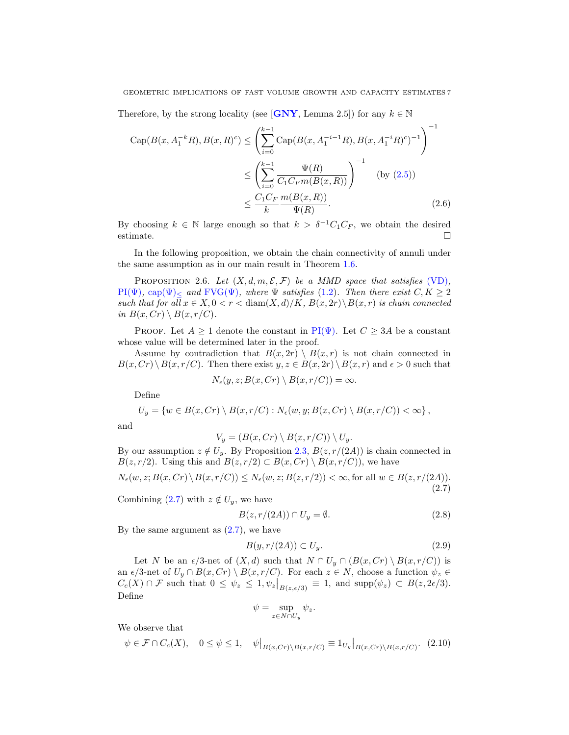Therefore, by the strong locality (see [[GNY](#page-14-14), Lemma 2.5]) for any  $k \in \mathbb{N}$ 

$$
\text{Cap}(B(x, A_1^{-k}R), B(x, R)^c) \le \left(\sum_{i=0}^{k-1} \text{Cap}(B(x, A_1^{-i-1}R), B(x, A_1^{-i}R)^c)^{-1}\right)^{-1}
$$

$$
\le \left(\sum_{i=0}^{k-1} \frac{\Psi(R)}{C_1 C_F m(B(x, R))}\right)^{-1} \quad \text{(by (2.5))}
$$

$$
\le \frac{C_1 C_F m(B(x, R))}{k}.
$$
 (2.6)

By choosing  $k \in \mathbb{N}$  large enough so that  $k > \delta^{-1}C_1C_F$ , we obtain the desired estimate.

In the following proposition, we obtain the chain connectivity of annuli under the same assumption as in our main result in Theorem [1.6.](#page-3-4)

<span id="page-6-4"></span>PROPOSITION 2.6. Let  $(X, d, m, \mathcal{E}, \mathcal{F})$  be a MMD space that satisfies [\(VD\)](#page-2-0),  $PI(\Psi)$ , cap $(\Psi)$  and  $FVG(\Psi)$ , where  $\Psi$  satisfies [\(1.2\)](#page-2-1). Then there exist  $C, K \geq 2$ such that for all  $x \in X, 0 < r < \text{diam}(X, d)/K$ ,  $B(x, 2r) \setminus B(x, r)$  is chain connected in  $B(x, Cr) \setminus B(x, r/C)$ .

PROOF. Let  $A \geq 1$  denote the constant in PI( $\Psi$ ). Let  $C \geq 3A$  be a constant whose value will be determined later in the proof.

Assume by contradiction that  $B(x, 2r) \setminus B(x, r)$  is not chain connected in  $B(x, Cr) \ B(x, r/C)$ . Then there exist  $y, z \in B(x, 2r) \ B(x, r)$  and  $\epsilon > 0$  such that  $D(A)$   $D(A)$   $(0)$ 

$$
N_{\epsilon}(y,z;B(x,Cr)\setminus B(x,r/C))=\infty
$$

Define

$$
U_y = \{ w \in B(x, Cr) \setminus B(x, r/C) : N_{\epsilon}(w, y; B(x, Cr) \setminus B(x, r/C)) < \infty \},
$$

and

$$
V_y = (B(x, Cr) \setminus B(x, r/C)) \setminus U_y.
$$

By our assumption  $z \notin U_y$ . By Proposition [2.3,](#page-5-0)  $B(z, r/(2A))$  is chain connected in  $B(z, r/2)$ . Using this and  $B(z, r/2) \subset B(x, Cr) \setminus B(x, r/C)$ , we have

<span id="page-6-0"></span>
$$
N_{\epsilon}(w, z; B(x, Cr) \setminus B(x, r/C)) \le N_{\epsilon}(w, z; B(z, r/2)) < \infty, \text{for all } w \in B(z, r/(2A)).
$$
\n(2.7)

Combining [\(2.7\)](#page-6-0) with  $z \notin U_y$ , we have

<span id="page-6-2"></span>
$$
B(z, r/(2A)) \cap U_y = \emptyset. \tag{2.8}
$$

By the same argument as  $(2.7)$ , we have

<span id="page-6-3"></span>
$$
B(y, r/(2A)) \subset U_y.
$$
\n<sup>(2.9)</sup>

 $\mathbf{r}$ 

Let N be an  $\epsilon/3$ -net of  $(X, d)$  such that  $N \cap U_y \cap (B(x, Cr) \setminus B(x, r/C))$  is an  $\epsilon/3$ -net of  $U_y \cap B(x, Cr) \setminus B(x, r/C)$ . For each  $z \in N$ , choose a function  $\psi_z \in$  $C_c(X) \cap \mathcal{F}$  such that  $0 \leq \psi_z \leq 1, \psi_z|_{B(z,\epsilon/3)} \equiv 1$ , and supp $(\psi_z) \subset B(z, 2\epsilon/3)$ . Define

$$
\psi = \sup_{z \in N \cap U_y} \psi_z.
$$

We observe that

<span id="page-6-1"></span>
$$
\psi \in \mathcal{F} \cap C_c(X), \quad 0 \le \psi \le 1, \quad \psi\big|_{B(x,Cr)\setminus B(x,r/C)} \equiv 1_{U_y}\big|_{B(x,Cr)\setminus B(x,r/C)}.\tag{2.10}
$$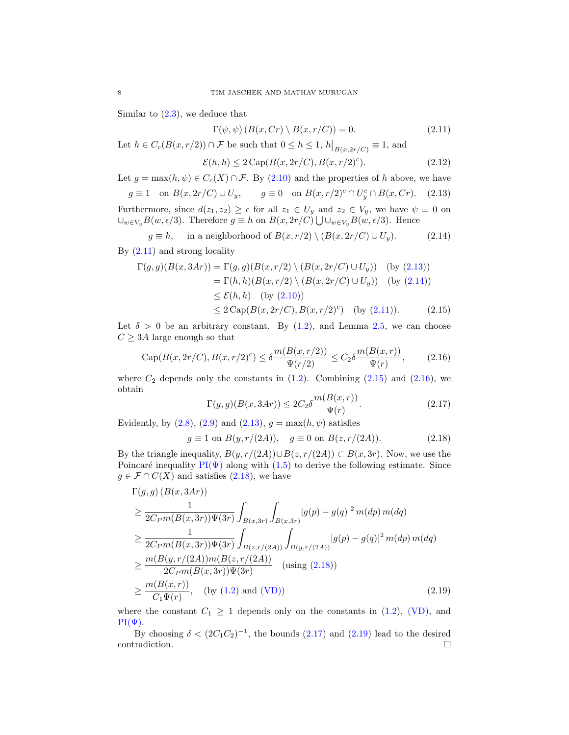Similar to  $(2.3)$ , we deduce that

<span id="page-7-0"></span>
$$
\Gamma(\psi, \psi) \left( B(x, Cr) \setminus B(x, r/C) \right) = 0. \tag{2.11}
$$

Let  $h \in C_c(B(x,r/2)) \cap \mathcal{F}$  be such that  $0 \leq h \leq 1$ ,  $h\big|_{B(x,2r/C)} \equiv 1$ , and

$$
\mathcal{E}(h,h) \le 2 \operatorname{Cap}(B(x,2r/C),B(x,r/2)^c). \tag{2.12}
$$

Let  $g = \max(h, \psi) \in C_c(X) \cap \mathcal{F}$ . By [\(2.10\)](#page-6-1) and the properties of h above, we have

<span id="page-7-1"></span>
$$
g \equiv 1 \quad \text{on } B(x, 2r/C) \cup U_y, \qquad g \equiv 0 \quad \text{on } B(x, r/2)^c \cap U_y^c \cap B(x, Cr). \tag{2.13}
$$

Furthermore, since  $d(z_1, z_2) \geq \epsilon$  for all  $z_1 \in U_y$  and  $z_2 \in V_y$ , we have  $\psi \equiv 0$  on  $\cup_{w\in V_y} B(w, \epsilon/3)$ . Therefore  $g \equiv h$  on  $B(x, 2r/C) \bigcup \cup_{w\in V_y} B(w, \epsilon/3)$ . Hence

<span id="page-7-2"></span>
$$
g \equiv h, \quad \text{ in a neighborhood of } B(x, r/2) \setminus (B(x, 2r/C) \cup U_y). \tag{2.14}
$$

By [\(2.11\)](#page-7-0) and strong locality

$$
\Gamma(g,g)(B(x,3Ar)) = \Gamma(g,g)(B(x,r/2) \setminus (B(x,2r/C) \cup U_y)) \quad \text{(by (2.13))}
$$
\n
$$
= \Gamma(h,h)(B(x,r/2) \setminus (B(x,2r/C) \cup U_y)) \quad \text{(by (2.14))}
$$
\n
$$
\leq \mathcal{E}(h,h) \quad \text{(by (2.10))}
$$
\n
$$
\leq 2 \operatorname{Cap}(B(x,2r/C),B(x,r/2)^c) \quad \text{(by (2.11))}. \tag{2.15}
$$

Let  $\delta > 0$  be an arbitrary constant. By [\(1.2\)](#page-2-1), and Lemma [2.5,](#page-5-5) we can choose  $C \geq 3A$  large enough so that

<span id="page-7-4"></span>
$$
Cap(B(x, 2r/C), B(x, r/2)^c) \le \delta \frac{m(B(x, r/2))}{\Psi(r/2)} \le C_2 \delta \frac{m(B(x, r))}{\Psi(r)},
$$
\n(2.16)

where  $C_2$  depends only the constants in  $(1.2)$ . Combining  $(2.15)$  and  $(2.16)$ , we obtain

<span id="page-7-6"></span><span id="page-7-3"></span>
$$
\Gamma(g,g)(B(x,3Ar)) \le 2C_2 \delta \frac{m(B(x,r))}{\Psi(r)}.\tag{2.17}
$$

Evidently, by  $(2.8)$ ,  $(2.9)$  and  $(2.13)$ ,  $g = \max(h, \psi)$  satisfies

<span id="page-7-7"></span><span id="page-7-5"></span>
$$
g \equiv 1 \text{ on } B(y, r/(2A)), \quad g \equiv 0 \text{ on } B(z, r/(2A)). \tag{2.18}
$$

By the triangle inequality,  $B(y, r/(2A)) \cup B(z, r/(2A)) \subset B(x, 3r)$ . Now, we use the Poincaré inequality  $PI(\Psi)$  along with [\(1.5\)](#page-3-5) to derive the following estimate. Since  $g \in \mathcal{F} \cap C(X)$  and satisfies  $(2.18)$ , we have

$$
\Gamma(g,g)(B(x,3Ar))
$$
\n
$$
\geq \frac{1}{2C_{P}m(B(x,3r))\Psi(3r)} \int_{B(x,3r)} \int_{B(x,3r)} |g(p) - g(q)|^2 m(dp) m(dq)
$$
\n
$$
\geq \frac{1}{2C_{P}m(B(x,3r))\Psi(3r)} \int_{B(z,r/(2A))} \int_{B(y,r/(2A))} |g(p) - g(q)|^2 m(dp) m(dq)
$$
\n
$$
\geq \frac{m(B(y,r/(2A))m(B(z,r/(2A)))}{2C_{P}m(B(x,3r))\Psi(3r)} \quad \text{(using (2.18))}
$$
\n
$$
\geq \frac{m(B(x,r))}{C_1\Psi(r)}, \quad \text{(by (1.2) and (VD))} \tag{2.19}
$$

where the constant  $C_1 \geq 1$  depends only on the constants in [\(1.2\)](#page-2-1), [\(VD\),](#page-2-0) and  $PI(\Psi)$ .

By choosing  $\delta < (2C_1C_2)^{-1}$ , the bounds  $(2.17)$  and  $(2.19)$  lead to the desired contradiction.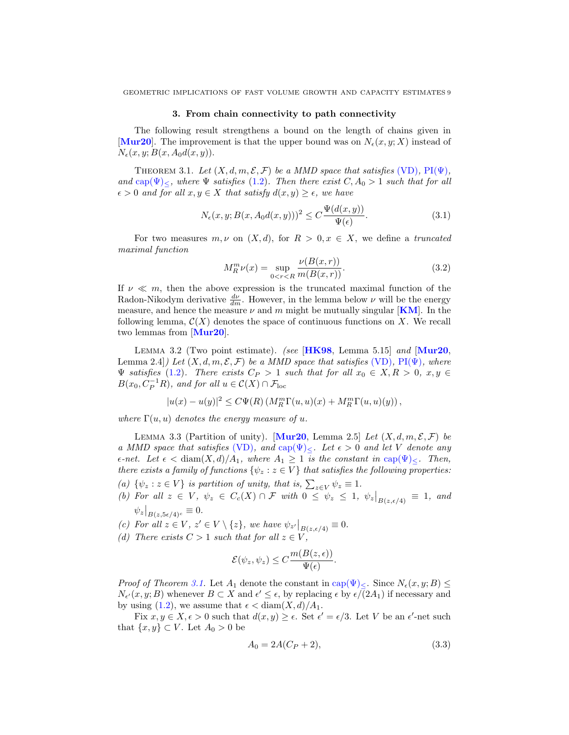#### 3. From chain connectivity to path connectivity

The following result strengthens a bound on the length of chains given in [[Mur20](#page-14-10)]. The improvement is that the upper bound was on  $N_{\epsilon}(x, y; X)$  instead of  $N_{\epsilon}(x, y; B(x, A_0d(x, y)).$ 

<span id="page-8-0"></span>THEOREM 3.1. Let  $(X, d, m, \mathcal{E}, \mathcal{F})$  be a MMD space that satisfies [\(VD\)](#page-2-0),  $PI(\Psi)$ , and  $\text{cap}(\Psi)_{\leq}$ , where  $\Psi$  satisfies [\(1.2\)](#page-2-1). Then there exist  $C, A_0 > 1$  such that for all  $\epsilon > 0$  and for all  $x, y \in X$  that satisfy  $d(x, y) \geq \epsilon$ , we have

<span id="page-8-3"></span>
$$
N_{\epsilon}(x, y; B(x, A_0d(x, y)))^2 \le C \frac{\Psi(d(x, y))}{\Psi(\epsilon)}.
$$
\n(3.1)

For two measures  $m, \nu$  on  $(X, d)$ , for  $R > 0, x \in X$ , we define a truncated maximal function

$$
M_R^m \nu(x) = \sup_{0 < r < R} \frac{\nu(B(x, r))}{m(B(x, r))}.\tag{3.2}
$$

If  $\nu \ll m$ , then the above expression is the truncated maximal function of the Radon-Nikodym derivative  $\frac{d\nu}{dm}$ . However, in the lemma below  $\nu$  will be the energy measure, and hence the measure  $\nu$  and m might be mutually singular [[KM](#page-14-9)]. In the following lemma,  $\mathcal{C}(X)$  denotes the space of continuous functions on X. We recall two lemmas from [[Mur20](#page-14-10)].

<span id="page-8-1"></span>LEMMA 3.2 (Two point estimate). (see  $[HK98,$  $[HK98,$  $[HK98,$  Lemma 5.15] and  $[Mur20,$  $[Mur20,$  $[Mur20,$ Lemma 2.4]) Let  $(X, d, m, \mathcal{E}, \mathcal{F})$  be a MMD space that satisfies [\(VD\)](#page-2-0), PI( $\Psi$ ), where  $\Psi$  satisfies [\(1.2\)](#page-2-1). There exists  $C_P > 1$  such that for all  $x_0 \in X, R > 0, x, y \in$  $B(x_0, C_P^{-1}R)$ , and for all  $u \in C(X) \cap \mathcal{F}_{loc}$ 

$$
|u(x) - u(y)|^2 \leq C\Psi(R) \left( M_R^m \Gamma(u, u)(x) + M_R^m \Gamma(u, u)(y) \right),
$$

where  $\Gamma(u, u)$  denotes the energy measure of u.

<span id="page-8-2"></span>LEMMA 3.3 (Partition of unity). [[Mur20](#page-14-10), Lemma 2.5] Let  $(X, d, m, \mathcal{E}, \mathcal{F})$  be a MMD space that satisfies [\(VD\)](#page-2-0), and cap $(\Psi)_{\leq}$ . Let  $\epsilon > 0$  and let V denote any  $\epsilon$ -net. Let  $\epsilon < \text{diam}(X, d)/A_1$ , where  $A_1 \geq 1$  is the constant in cap $(\Psi)_{\leq}$ . Then, there exists a family of functions  $\{\psi_z : z \in V\}$  that satisfies the following properties:

- (a)  $\{\psi_z : z \in V\}$  is partition of unity, that is,  $\sum_{z \in V} \psi_z \equiv 1$ .
- (b) For all  $z \in V$ ,  $\psi_z \in C_c(X) \cap \mathcal{F}$  with  $0 \leq \psi_z \leq 1$ ,  $\psi_z|_{B(z, \epsilon/4)} \equiv 1$ , and  $\psi_z|_{B(z, 5\epsilon/4)^c} \equiv 0.$

(c) For all  $z \in V$ ,  $z' \in V \setminus \{z\}$ , we have  $\psi_{z'}|_{B(z, \epsilon/4)} \equiv 0$ .

(d) There exists  $C > 1$  such that for all  $z \in V$ ,

$$
\mathcal{E}(\psi_z, \psi_z) \le C \frac{m(B(z, \epsilon))}{\Psi(\epsilon)}.
$$

*Proof of Theorem [3.1.](#page-8-0)* Let  $A_1$  denote the constant in cap( $\Psi$ )<. Since  $N_{\epsilon}(x, y; B)$  $N_{\epsilon'}(x, y; B)$  whenever  $B \subset X$  and  $\epsilon' \leq \epsilon$ , by replacing  $\epsilon$  by  $\epsilon/(2A_1)$  if necessary and by using [\(1.2\)](#page-2-1), we assume that  $\epsilon < \text{diam}(X, d)/A_1$ .

Fix  $x, y \in X, \epsilon > 0$  such that  $d(x, y) \ge \epsilon$ . Set  $\epsilon' = \epsilon/3$ . Let V be an  $\epsilon'$ -net such that  $\{x, y\} \subset V$ . Let  $A_0 > 0$  be

$$
A_0 = 2A(C_P + 2),\tag{3.3}
$$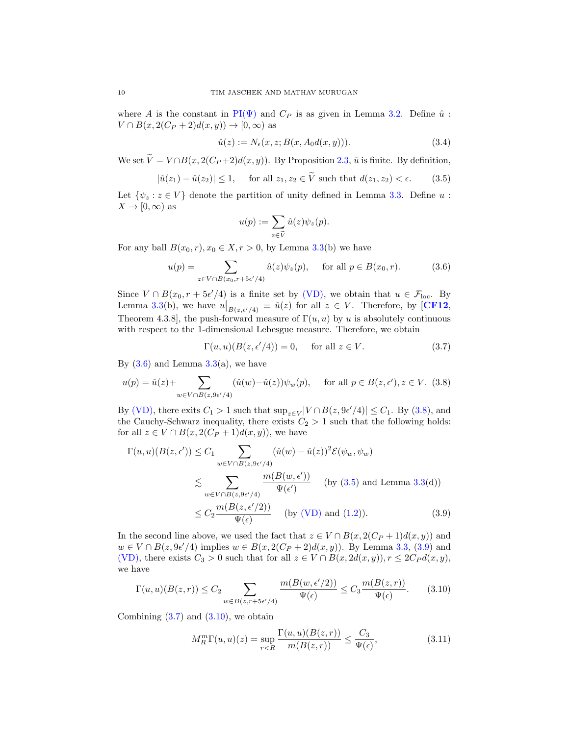where A is the constant in PI( $\Psi$ ) and  $C_P$  is as given in Lemma [3.2.](#page-8-1) Define  $\hat{u}$ :  $V \cap B(x, 2(C_P + 2)d(x, y)) \to [0, \infty)$  as

$$
\hat{u}(z) := N_{\epsilon}(x, z; B(x, A_0 d(x, y))). \tag{3.4}
$$

We set  $\widetilde{V} = V \cap B(x, 2(C_P + 2)d(x, y))$ . By Proposition [2.3,](#page-5-0)  $\hat{u}$  is finite. By definition,

<span id="page-9-2"></span>
$$
|\hat{u}(z_1) - \hat{u}(z_2)| \le 1, \quad \text{ for all } z_1, z_2 \in V \text{ such that } d(z_1, z_2) < \epsilon. \tag{3.5}
$$

Let  $\{\psi_z : z \in V\}$  denote the partition of unity defined in Lemma [3.3.](#page-8-2) Define u:  $X \to [0, \infty)$  as

$$
u(p) := \sum_{z \in \widetilde{V}} \hat{u}(z) \psi_z(p).
$$

For any ball  $B(x_0, r)$ ,  $x_0 \in X, r > 0$ , by Lemma [3.3\(](#page-8-2)b) we have

<span id="page-9-0"></span>
$$
u(p) = \sum_{z \in V \cap B(x_0, r + 5\epsilon'/4)} \hat{u}(z)\psi_z(p), \quad \text{for all } p \in B(x_0, r). \tag{3.6}
$$

Since  $V \cap B(x_0, r + 5\epsilon'/4)$  is a finite set by [\(VD\),](#page-2-0) we obtain that  $u \in \mathcal{F}_{loc}$ . By Lemma [3.3\(](#page-8-2)b), we have  $u|_{B(z,\epsilon'/4)} \equiv \hat{u}(z)$  for all  $z \in V$ . Therefore, by [[CF12](#page-13-7), Theorem 4.3.8], the push-forward measure of  $\Gamma(u, u)$  by u is absolutely continuous with respect to the 1-dimensional Lebesgue measure. Therefore, we obtain

<span id="page-9-4"></span>
$$
\Gamma(u, u)(B(z, \epsilon'/4)) = 0, \quad \text{for all } z \in V. \tag{3.7}
$$

By  $(3.6)$  and Lemma  $3.3(a)$  $3.3(a)$ , we have

<span id="page-9-1"></span>
$$
u(p) = \hat{u}(z) + \sum_{w \in V \cap B(z, 9\epsilon'/4)} (\hat{u}(w) - \hat{u}(z))\psi_w(p), \quad \text{ for all } p \in B(z, \epsilon'), z \in V. \tag{3.8}
$$

By [\(VD\),](#page-2-0) there exits  $C_1 > 1$  such that  $\sup_{z \in V} |V \cap B(z, 9\epsilon'/4)| \leq C_1$ . By [\(3.8\)](#page-9-1), and the Cauchy-Schwarz inequality, there exists  $C_2 > 1$  such that the following holds: for all  $z \in V \cap B(x, 2(C_P + 1)d(x, y))$ , we have

$$
\Gamma(u, u)(B(z, \epsilon')) \leq C_1 \sum_{w \in V \cap B(z, 9\epsilon'/4)} (\hat{u}(w) - \hat{u}(z))^2 \mathcal{E}(\psi_w, \psi_w)
$$
  
\$\lesssim \sum\_{w \in V \cap B(z, 9\epsilon'/4)} \frac{m(B(w, \epsilon'))}{\Psi(\epsilon')} \text{ (by (3.5) and Lemma 3.3(d))}  
\$\leq C\_2 \frac{m(B(z, \epsilon'/2))}{\Psi(\epsilon)} \text{ (by (VD) and (1.2))}. \tag{3.9}

In the second line above, we used the fact that  $z \in V \cap B(x, 2(C_P + 1)d(x, y))$  and  $w \in V \cap B(z, 9\epsilon'/4)$  implies  $w \in B(x, 2(C_P + 2)d(x, y))$ . By Lemma [3.3,](#page-8-2) [\(3.9\)](#page-9-3) and [\(VD\),](#page-2-0) there exists  $C_3 > 0$  such that for all  $z \in V \cap B(x, 2d(x, y)), r \leq 2C_P d(x, y)$ , we have

<span id="page-9-5"></span>
$$
\Gamma(u, u)(B(z, r)) \le C_2 \sum_{w \in B(z, r+5\epsilon'/4)} \frac{m(B(w, \epsilon'/2))}{\Psi(\epsilon)} \le C_3 \frac{m(B(z, r))}{\Psi(\epsilon)}.
$$
 (3.10)

Combining  $(3.7)$  and  $(3.10)$ , we obtain

<span id="page-9-6"></span><span id="page-9-3"></span>
$$
M_R^m \Gamma(u, u)(z) = \sup_{r < R} \frac{\Gamma(u, u)(B(z, r))}{m(B(z, r))} \le \frac{C_3}{\Psi(\epsilon)},\tag{3.11}
$$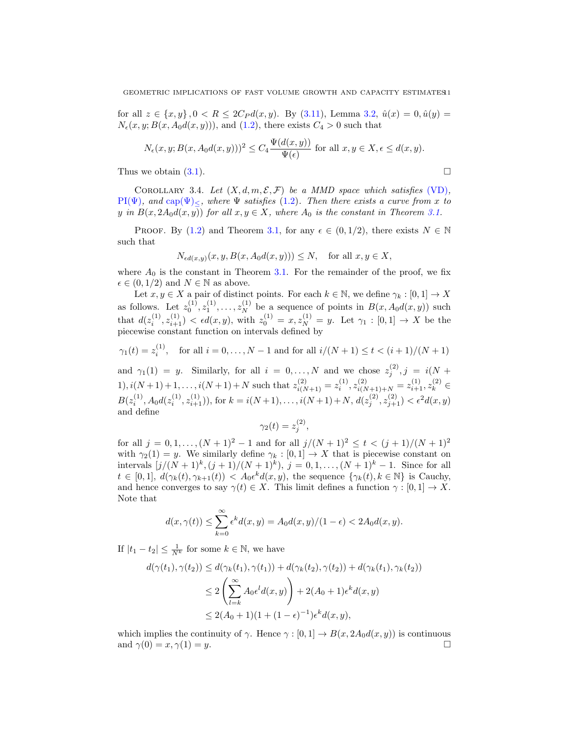for all  $z \in \{x, y\}$ ,  $0 < R \leq 2C_P d(x, y)$ . By [\(3.11\)](#page-9-6), Lemma [3.2,](#page-8-1)  $\hat{u}(x) = 0$ ,  $\hat{u}(y) = 0$  $N_{\epsilon}(x, y; B(x, A_0d(x, y))),$  and  $(1.2)$ , there exists  $C_4 > 0$  such that

$$
N_{\epsilon}(x, y; B(x, A_0d(x, y)))^2 \le C_4 \frac{\Psi(d(x, y))}{\Psi(\epsilon)} \text{ for all } x, y \in X, \epsilon \le d(x, y).
$$

Thus we obtain  $(3.1)$ .

<span id="page-10-0"></span>COROLLARY 3.4. Let  $(X, d, m, \mathcal{E}, \mathcal{F})$  be a MMD space which satisfies [\(VD\)](#page-2-0),  $PI(\Psi)$ , and cap $(\Psi)$ <, where  $\Psi$  satisfies [\(1.2\)](#page-2-1). Then there exists a curve from x to y in  $B(x, 2A_0d(x, y))$  for all  $x, y \in X$ , where  $A_0$  is the constant in Theorem [3.1.](#page-8-0)

PROOF. By [\(1.2\)](#page-2-1) and Theorem [3.1,](#page-8-0) for any  $\epsilon \in (0, 1/2)$ , there exists  $N \in \mathbb{N}$ such that

$$
N_{\epsilon d(x,y)}(x, y, B(x, A_0d(x, y))) \le N, \text{ for all } x, y \in X,
$$

where  $A_0$  is the constant in Theorem [3.1.](#page-8-0) For the remainder of the proof, we fix  $\epsilon \in (0, 1/2)$  and  $N \in \mathbb{N}$  as above.

Let  $x, y \in X$  a pair of distinct points. For each  $k \in \mathbb{N}$ , we define  $\gamma_k : [0, 1] \to X$ as follows. Let  $z_0^{(1)}, z_1^{(1)}, \ldots, z_N^{(1)}$  be a sequence of points in  $B(x, A_0d(x, y))$  such that  $d(z_i^{(1)}, z_{i+1}^{(1)}) < \epsilon d(x, y)$ , with  $z_0^{(1)} = x, z_N^{(1)} = y$ . Let  $\gamma_1 : [0, 1] \to X$  be the piecewise constant function on intervals defined by

$$
\gamma_1(t) = z_i^{(1)}
$$
, for all  $i = 0, ..., N - 1$  and for all  $i/(N + 1) \le t < (i + 1)/(N + 1)$ 

and  $\gamma_1(1) = y$ . Similarly, for all  $i = 0, ..., N$  and we chose  $z_j^{(2)}$ ,  $j = i(N + 1)$ 1),  $i(N+1)+1,\ldots,i(N+1)+N$  such that  $z_{i(N+1)}^{(2)} = z_i^{(1)}, z_{i(N+1)+N}^{(2)} = z_{i+1}^{(1)}, z_k^{(2)} \in$  $B(z_i^{(1)}, A_0d(z_i^{(1)}, z_{i+1}^{(1)}))$ , for  $k = i(N+1), \ldots, i(N+1) + N$ ,  $d(z_j^{(2)}, z_{j+1}^{(2)}) < \epsilon^2 d(x, y)$ and define

$$
\gamma_2(t) = z_j^{(2)}
$$

,

for all  $j = 0, 1, ..., (N + 1)^2 - 1$  and for all  $j/(N + 1)^2 \le t < (j + 1)/(N + 1)^2$ with  $\gamma_2(1) = y$ . We similarly define  $\gamma_k : [0,1] \to X$  that is piecewise constant on intervals  $[j/(N+1)^k, (j+1)/(N+1)^k)$ ,  $j = 0, 1, ..., (N+1)^k - 1$ . Since for all  $t \in [0,1], d(\gamma_k(t), \gamma_{k+1}(t)) < A_0 \epsilon^k d(x, y)$ , the sequence  $\{\gamma_k(t), k \in \mathbb{N}\}\$ is Cauchy, and hence converges to say  $\gamma(t) \in X$ . This limit defines a function  $\gamma : [0,1] \to X$ . Note that

$$
d(x, \gamma(t)) \le \sum_{k=0}^{\infty} \epsilon^k d(x, y) = A_0 d(x, y) / (1 - \epsilon) < 2A_0 d(x, y).
$$

If  $|t_1 - t_2| \leq \frac{1}{N^k}$  for some  $k \in \mathbb{N}$ , we have

$$
d(\gamma(t_1), \gamma(t_2)) \le d(\gamma_k(t_1), \gamma(t_1)) + d(\gamma_k(t_2), \gamma(t_2)) + d(\gamma_k(t_1), \gamma_k(t_2))
$$
  
\n
$$
\le 2\left(\sum_{l=k}^{\infty} A_0 \epsilon^l d(x, y)\right) + 2(A_0 + 1)\epsilon^k d(x, y)
$$
  
\n
$$
\le 2(A_0 + 1)(1 + (1 - \epsilon)^{-1})\epsilon^k d(x, y),
$$

which implies the continuity of  $\gamma$ . Hence  $\gamma : [0, 1] \to B(x, 2A_0d(x, y))$  is continuous and  $\gamma(0) = x, \gamma(1) = y$ .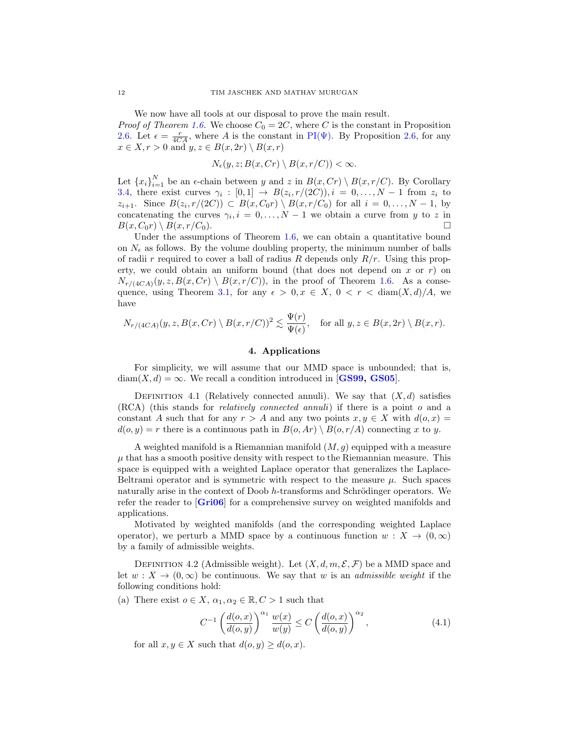We now have all tools at our disposal to prove the main result.

*Proof of Theorem [1.6.](#page-3-4)* We choose  $C_0 = 2C$ , where C is the constant in Proposition [2.6.](#page-6-4) Let  $\epsilon = \frac{r}{4CA}$ , where A is the constant in PI( $\Psi$ ). By Proposition [2.6,](#page-6-4) for any  $x \in X, r > 0$  and  $y, z \in B(x, 2r) \setminus B(x, r)$ 

$$
N_{\epsilon}(y, z; B(x, Cr) \setminus B(x, r/C)) < \infty.
$$

Let  ${x_i}_{i=1}^N$  be an  $\epsilon$ -chain between y and z in  $B(x, Cr) \setminus B(x, r/C)$ . By Corollary [3.4,](#page-10-0) there exist curves  $\gamma_i : [0,1] \to B(z_i, r/(2C)), i = 0, \ldots, N-1$  from  $z_i$  to  $z_{i+1}$ . Since  $B(z_i, r/(2C)) \subset B(x, C_0r) \setminus B(x, r/C_0)$  for all  $i = 0, \ldots, N-1$ , by concatenating the curves  $\gamma_i, i = 0, \ldots, N-1$  we obtain a curve from y to z in  $B(x, C_0r) \setminus B(x, r/C_0).$ 

Under the assumptions of Theorem [1.6,](#page-3-4) we can obtain a quantitative bound on  $N_{\epsilon}$  as follows. By the volume doubling property, the minimum number of balls of radii r required to cover a ball of radius R depends only  $R/r$ . Using this property, we could obtain an uniform bound (that does not depend on  $x$  or  $r$ ) on  $N_{r/(4CA)}(y, z, B(x, Cr) \setminus B(x, r/C))$ , in the proof of Theorem [1.6.](#page-3-4) As a conse-quence, using Theorem [3.1,](#page-8-0) for any  $\epsilon > 0, x \in X, 0 < r < \text{diam}(X, d)/A$ , we have

$$
N_{r/(4CA)}(y, z, B(x, Cr) \setminus B(x, r/C))^2 \lesssim \frac{\Psi(r)}{\Psi(\epsilon)}, \quad \text{for all } y, z \in B(x, 2r) \setminus B(x, r).
$$

## 4. Applications

For simplicity, we will assume that our MMD space is unbounded; that is,  $diam(X, d) = \infty$ . We recall a condition introduced in [[GS99,](#page-14-0) [GS05](#page-14-15)].

DEFINITION 4.1 (Relatively connected annuli). We say that  $(X, d)$  satisfies (RCA) (this stands for relatively connected annuli) if there is a point o and a constant A such that for any  $r > A$  and any two points  $x, y \in X$  with  $d(o, x) =$  $d(o, y) = r$  there is a continuous path in  $B(o, Ar) \setminus B(o, r/A)$  connecting x to y.

A weighted manifold is a Riemannian manifold  $(M, g)$  equipped with a measure  $\mu$  that has a smooth positive density with respect to the Riemannian measure. This space is equipped with a weighted Laplace operator that generalizes the Laplace-Beltrami operator and is symmetric with respect to the measure  $\mu$ . Such spaces naturally arise in the context of Doob h-transforms and Schrödinger operators. We refer the reader to [[Gri06](#page-14-16)] for a comprehensive survey on weighted manifolds and applications.

Motivated by weighted manifolds (and the corresponding weighted Laplace operator), we perturb a MMD space by a continuous function  $w : X \to (0, \infty)$ by a family of admissible weights.

<span id="page-11-0"></span>DEFINITION 4.2 (Admissible weight). Let  $(X, d, m, \mathcal{E}, \mathcal{F})$  be a MMD space and let  $w: X \to (0, \infty)$  be continuous. We say that w is an *admissible weight* if the following conditions hold:

(a) There exist  $o \in X$ ,  $\alpha_1, \alpha_2 \in \mathbb{R}$ ,  $C > 1$  such that

<span id="page-11-1"></span>
$$
C^{-1}\left(\frac{d(o,x)}{d(o,y)}\right)^{\alpha_1}\frac{w(x)}{w(y)} \le C\left(\frac{d(o,x)}{d(o,y)}\right)^{\alpha_2},\tag{4.1}
$$

for all  $x, y \in X$  such that  $d(o, y) \geq d(o, x)$ .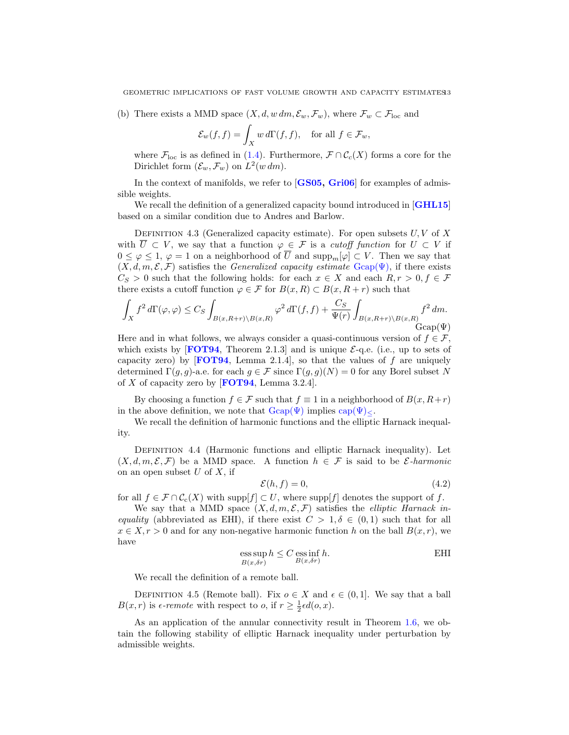(b) There exists a MMD space  $(X, d, w \, dm, \mathcal{E}_w, \mathcal{F}_w)$ , where  $\mathcal{F}_w \subset \mathcal{F}_{\text{loc}}$  and

$$
\mathcal{E}_w(f,f) = \int_X w \, d\Gamma(f,f), \quad \text{for all } f \in \mathcal{F}_w,
$$

where  $\mathcal{F}_{loc}$  is as defined in [\(1.4\)](#page-3-6). Furthermore,  $\mathcal{F} \cap \mathcal{C}_{c}(X)$  forms a core for the Dirichlet form  $(\mathcal{E}_w, \mathcal{F}_w)$  on  $L^2(w dm)$ .

In the context of manifolds, we refer to  $[GS05, Gri06]$  $[GS05, Gri06]$  $[GS05, Gri06]$  $[GS05, Gri06]$  $[GS05, Gri06]$  for examples of admissible weights.

We recall the definition of a generalized capacity bound introduced in [[GHL15](#page-14-4)] based on a similar condition due to Andres and Barlow.

DEFINITION 4.3 (Generalized capacity estimate). For open subsets  $U, V$  of X with  $\overline{U} \subset V$ , we say that a function  $\varphi \in \mathcal{F}$  is a *cutoff function* for  $U \subset V$  if  $0 \leq \varphi \leq 1$ ,  $\varphi = 1$  on a neighborhood of  $\overline{U}$  and supp<sub>m</sub>[ $\varphi$ ] ⊂ V. Then we say that  $(X, d, m, \mathcal{E}, \mathcal{F})$  satisfies the *Generalized capacity estimate*  $\text{Gcap}(\Psi)$ , if there exists  $C_S > 0$  such that the following holds: for each  $x \in X$  and each  $R, r > 0, f \in \mathcal{F}$ there exists a cutoff function  $\varphi \in \mathcal{F}$  for  $B(x,R) \subset B(x,R+r)$  such that

$$
\int_X f^2 d\Gamma(\varphi,\varphi) \leq C_S \int_{B(x,R+r)\backslash B(x,R)} \varphi^2 d\Gamma(f,f) + \frac{C_S}{\Psi(r)} \int_{B(x,R+r)\backslash B(x,R)} f^2 dm.
$$
  
 
$$
\text{Gcap}(\Psi)
$$

Here and in what follows, we always consider a quasi-continuous version of  $f \in \mathcal{F}$ , which exists by [[FOT94](#page-13-6), Theorem 2.1.3] and is unique  $\mathcal{E}$ -q.e. (i.e., up to sets of capacity zero) by [[FOT94](#page-13-6), Lemma 2.1.4], so that the values of f are uniquely determined  $\Gamma(g, g)$ -a.e. for each  $g \in \mathcal{F}$  since  $\Gamma(g, g)(N) = 0$  for any Borel subset N of X of capacity zero by  $[FOT94, Lemma 3.2.4].$  $[FOT94, Lemma 3.2.4].$  $[FOT94, Lemma 3.2.4].$ 

By choosing a function  $f \in \mathcal{F}$  such that  $f \equiv 1$  in a neighborhood of  $B(x, R+r)$ in the above definition, we note that  $\text{Gcap}(\Psi)$  implies  $\text{cap}(\Psi)_{\leq}$ .

We recall the definition of harmonic functions and the elliptic Harnack inequality.

Definition 4.4 (Harmonic functions and elliptic Harnack inequality). Let  $(X, d, m, \mathcal{E}, \mathcal{F})$  be a MMD space. A function  $h \in \mathcal{F}$  is said to be  $\mathcal{E}\text{-}harmonic$ on an open subset  $U$  of  $X$ , if

$$
\mathcal{E}(h,f) = 0,\tag{4.2}
$$

for all  $f \in \mathcal{F} \cap \mathcal{C}_c(X)$  with supp $[f] \subset U$ , where supp $[f]$  denotes the support of f.

We say that a MMD space  $(X, d, m, \mathcal{E}, \mathcal{F})$  satisfies the *elliptic Harnack in*equality (abbreviated as EHI), if there exist  $C > 1, \delta \in (0,1)$  such that for all  $x \in X, r > 0$  and for any non-negative harmonic function h on the ball  $B(x, r)$ , we have

$$
\operatorname*{ess\,sup}_{B(x,\delta r)} h \le C \operatorname*{ess\,inf}_{B(x,\delta r)} h.
$$
 EHI

We recall the definition of a remote ball.

DEFINITION 4.5 (Remote ball). Fix  $o \in X$  and  $\epsilon \in (0,1]$ . We say that a ball  $B(x,r)$  is  $\epsilon$ -remote with respect to o, if  $r \geq \frac{1}{2}\epsilon d(o,x)$ .

As an application of the annular connectivity result in Theorem [1.6,](#page-3-4) we obtain the following stability of elliptic Harnack inequality under perturbation by admissible weights.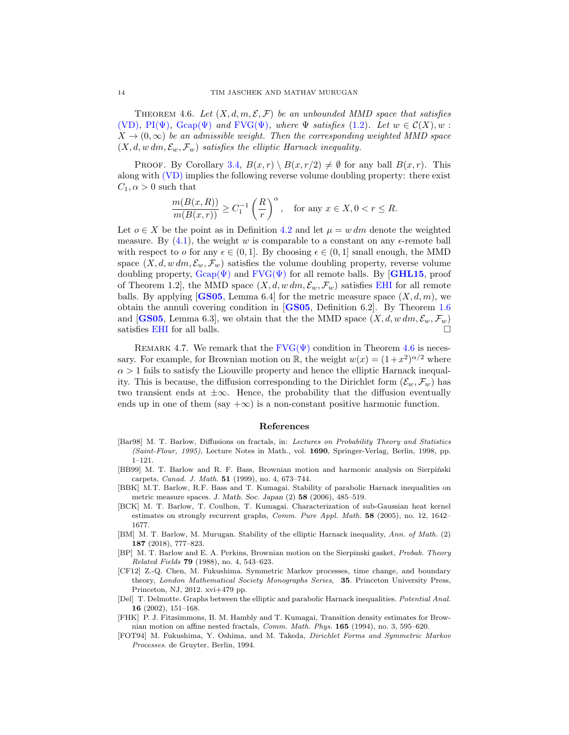<span id="page-13-9"></span>THEOREM 4.6. Let  $(X, d, m, \mathcal{E}, \mathcal{F})$  be an unbounded MMD space that satisfies [\(VD\)](#page-2-0),  $\text{PI}(\Psi)$ ,  $\text{Gcap}(\Psi)$  and  $\text{FVG}(\Psi)$ , where  $\Psi$  satisfies [\(1.2\)](#page-2-1). Let  $w \in \mathcal{C}(X), w$ :  $X \to (0,\infty)$  be an admissible weight. Then the corresponding weighted MMD space  $(X, d, w \, dm, \mathcal{E}_w, \mathcal{F}_w)$  satisfies the elliptic Harnack inequality.

PROOF. By Corollary [3.4,](#page-10-0)  $B(x,r) \setminus B(x,r/2) \neq \emptyset$  for any ball  $B(x,r)$ . This along with [\(VD\)](#page-2-0) implies the following reverse volume doubling property: there exist  $C_1, \alpha > 0$  such that

$$
\frac{m(B(x,R))}{m(B(x,r))} \geq C_1^{-1} \left(\frac{R}{r}\right)^{\alpha}, \quad \text{for any } x \in X, 0 < r \leq R.
$$

Let  $o \in X$  be the point as in Definition [4.2](#page-11-0) and let  $\mu = w dm$  denote the weighted measure. By  $(4.1)$ , the weight w is comparable to a constant on any  $\epsilon$ -remote ball with respect to o for any  $\epsilon \in (0,1]$ . By choosing  $\epsilon \in (0,1]$  small enough, the MMD space  $(X, d, w \, dm, \mathcal{E}_w, \mathcal{F}_w)$  satisfies the volume doubling property, reverse volume doubling property,  $\text{Gcap}(\Psi)$  and  $\text{FVG}(\Psi)$  for all remote balls. By [[GHL15](#page-14-4), proof of Theorem 1.2], the MMD space  $(X, d, w \, dm, \mathcal{E}_w, \mathcal{F}_w)$  satisfies [EHI](#page-0-0) for all remote balls. By applying [[GS05](#page-14-15), Lemma 6.4] for the metric measure space  $(X, d, m)$ , we obtain the annuli covering condition in [[GS05](#page-14-15), Definition 6.2]. By Theorem [1.6](#page-3-4) and [[GS05](#page-14-15), Lemma 6.3], we obtain that the the MMD space  $(X, d, w \, dm, \mathcal{E}_w, \mathcal{F}_w)$ satisfies [EHI](#page-0-0) for all balls.  $\square$ 

REMARK 4.7. We remark that the  $\text{FVG}(\Psi)$  condition in Theorem [4.6](#page-13-9) is necessary. For example, for Brownian motion on  $\mathbb{R}$ , the weight  $w(x) = (1+x^2)^{\alpha/2}$  where  $\alpha > 1$  fails to satisfy the Liouville property and hence the elliptic Harnack inequality. This is because, the diffusion corresponding to the Dirichlet form  $(\mathcal{E}_w, \mathcal{F}_w)$  has two transient ends at  $\pm \infty$ . Hence, the probability that the diffusion eventually ends up in one of them (say  $+\infty$ ) is a non-constant positive harmonic function.

#### References

- <span id="page-13-3"></span>[Bar98] M. T. Barlow, Diffusions on fractals, in: Lectures on Probability Theory and Statistics (Saint-Flour, 1995), Lecture Notes in Math., vol. 1690, Springer-Verlag, Berlin, 1998, pp. 1–121.
- <span id="page-13-2"></span>[BB99] M. T. Barlow and R. F. Bass, Brownian motion and harmonic analysis on Sierpiński carpets, Canad. J. Math. 51 (1999), no. 4, 673–744.
- [BBK] M.T. Barlow, R.F. Bass and T. Kumagai. Stability of parabolic Harnack inequalities on metric measure spaces. J. Math. Soc. Japan (2) 58 (2006), 485–519.
- <span id="page-13-4"></span>[BCK] M. T. Barlow, T. Coulhon, T. Kumagai. Characterization of sub-Gaussian heat kernel estimates on strongly recurrent graphs, Comm. Pure Appl. Math. 58 (2005), no. 12, 1642– 1677.
- <span id="page-13-5"></span>[BM] M. T. Barlow, M. Murugan. Stability of the elliptic Harnack inequality, Ann. of Math. (2) 187 (2018), 777–823.
- <span id="page-13-0"></span>[BP] M. T. Barlow and E. A. Perkins, Brownian motion on the Sierpinski gasket, Probab. Theory Related Fields **79** (1988), no. 4, 543-623.
- <span id="page-13-7"></span>[CF12] Z.-Q. Chen, M. Fukushima. Symmetric Markov processes, time change, and boundary theory, London Mathematical Society Monographs Series, 35. Princeton University Press, Princeton, NJ, 2012. xvi+479 pp.
- <span id="page-13-8"></span>[Del] T. Delmotte. Graphs between the elliptic and parabolic Harnack inequalities. Potential Anal. 16 (2002), 151–168.
- <span id="page-13-1"></span>[FHK] P. J. Fitzsimmons, B. M. Hambly and T. Kumagai, Transition density estimates for Brownian motion on affine nested fractals, Comm. Math. Phys. 165 (1994), no. 3, 595–620.
- <span id="page-13-6"></span>[FOT94] M. Fukushima, Y. Oshima, and M. Takeda, Dirichlet Forms and Symmetric Markov Processes. de Gruyter, Berlin, 1994.